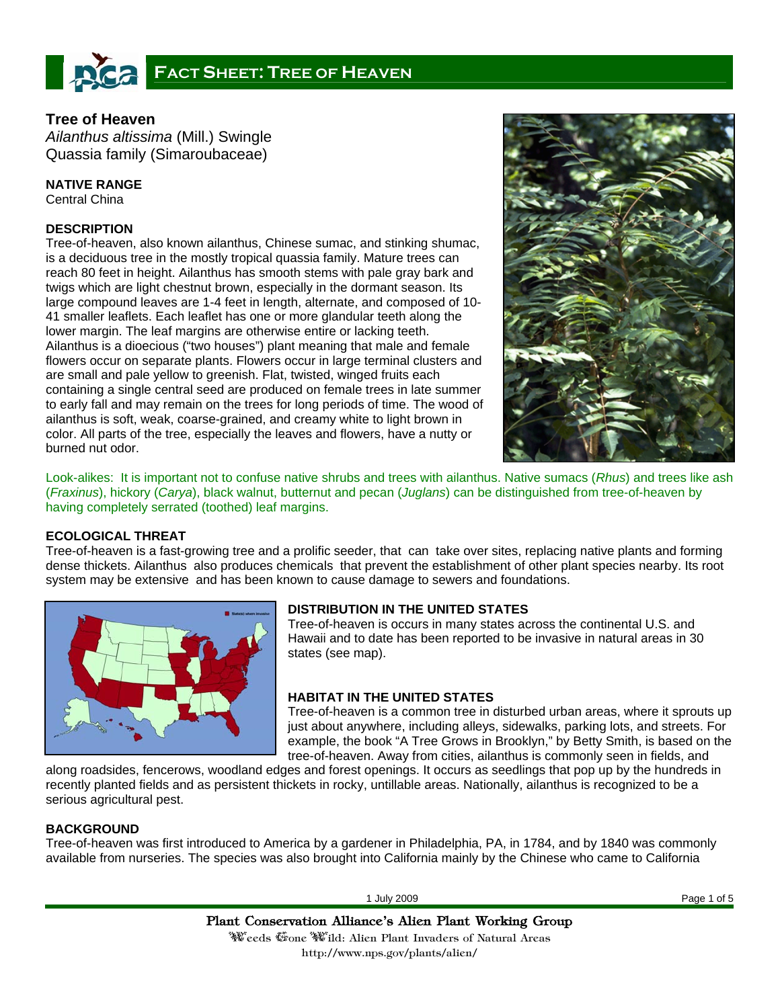

# **Tree of Heaven**

*Ailanthus altissima* (Mill.) Swingle Quassia family (Simaroubaceae)

**NATIVE RANGE** 

Central China

# **DESCRIPTION**

Tree-of-heaven, also known ailanthus, Chinese sumac, and stinking shumac, is a deciduous tree in the mostly tropical quassia family. Mature trees can reach 80 feet in height. Ailanthus has smooth stems with pale gray bark and twigs which are light chestnut brown, especially in the dormant season. Its large compound leaves are 1-4 feet in length, alternate, and composed of 10- 41 smaller leaflets. Each leaflet has one or more glandular teeth along the lower margin. The leaf margins are otherwise entire or lacking teeth. Ailanthus is a dioecious ("two houses") plant meaning that male and female flowers occur on separate plants. Flowers occur in large terminal clusters and are small and pale yellow to greenish. Flat, twisted, winged fruits each containing a single central seed are produced on female trees in late summer to early fall and may remain on the trees for long periods of time. The wood of ailanthus is soft, weak, coarse-grained, and creamy white to light brown in color. All parts of the tree, especially the leaves and flowers, have a nutty or burned nut odor.



Look-alikes: It is important not to confuse native shrubs and trees with ailanthus. Native sumacs (*Rhus*) and trees like ash (*Fraxinus*), hickory (*Carya*), black walnut, butternut and pecan (*Juglans*) can be distinguished from tree-of-heaven by having completely serrated (toothed) leaf margins.

## **ECOLOGICAL THREAT**

Tree-of-heaven is a fast-growing tree and a prolific seeder, that can take over sites, replacing native plants and forming dense thickets. Ailanthus also produces chemicals that prevent the establishment of other plant species nearby. Its root system may be extensive and has been known to cause damage to sewers and foundations.



# **DISTRIBUTION IN THE UNITED STATES**

Tree-of-heaven is occurs in many states across the continental U.S. and Hawaii and to date has been reported to be invasive in natural areas in 30 states (see map).

## **HABITAT IN THE UNITED STATES**

Tree-of-heaven is a common tree in disturbed urban areas, where it sprouts up just about anywhere, including alleys, sidewalks, parking lots, and streets. For example, the book "A Tree Grows in Brooklyn," by Betty Smith, is based on the tree-of-heaven. Away from cities, ailanthus is commonly seen in fields, and

along roadsides, fencerows, woodland edges and forest openings. It occurs as seedlings that pop up by the hundreds in recently planted fields and as persistent thickets in rocky, untillable areas. Nationally, ailanthus is recognized to be a serious agricultural pest.

# **BACKGROUND**

Tree-of-heaven was first introduced to America by a gardener in Philadelphia, PA, in 1784, and by 1840 was commonly available from nurseries. The species was also brought into California mainly by the Chinese who came to California

1 July 2009 Page 1 of 5

Plant Conservation Alliance's Alien Plant Working Group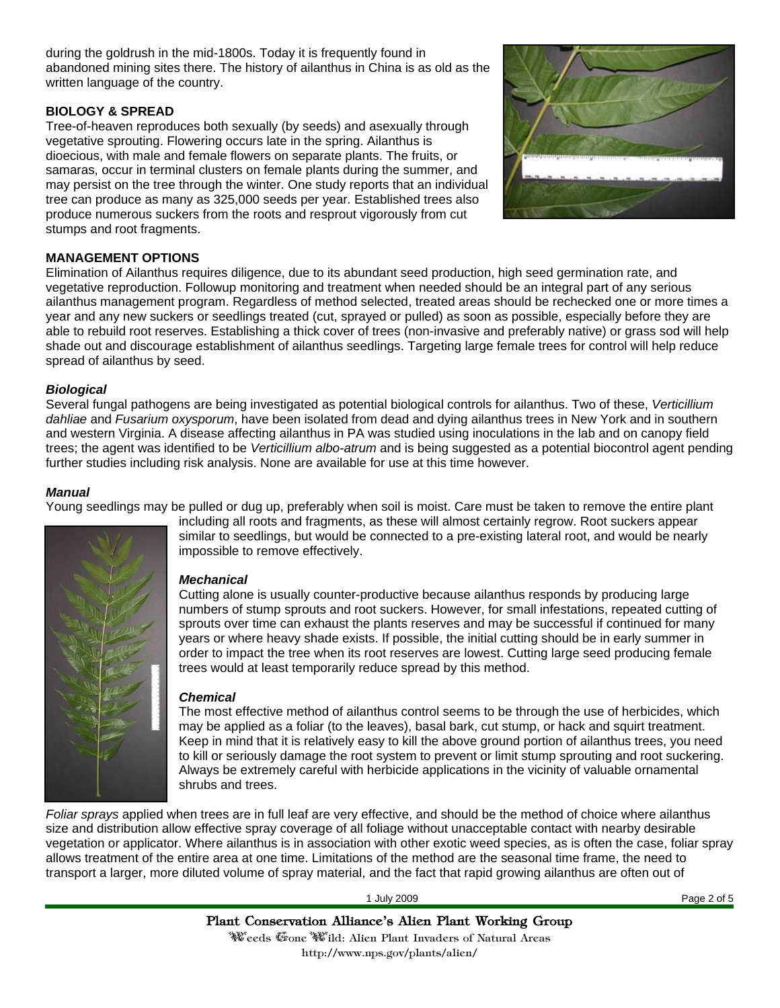during the goldrush in the mid-1800s. Today it is frequently found in abandoned mining sites there. The history of ailanthus in China is as old as the written language of the country.

## **BIOLOGY & SPREAD**

Tree-of-heaven reproduces both sexually (by seeds) and asexually through vegetative sprouting. Flowering occurs late in the spring. Ailanthus is dioecious, with male and female flowers on separate plants. The fruits, or samaras, occur in terminal clusters on female plants during the summer, and may persist on the tree through the winter. One study reports that an individual tree can produce as many as 325,000 seeds per year. Established trees also produce numerous suckers from the roots and resprout vigorously from cut stumps and root fragments.



## **MANAGEMENT OPTIONS**

Elimination of Ailanthus requires diligence, due to its abundant seed production, high seed germination rate, and vegetative reproduction. Followup monitoring and treatment when needed should be an integral part of any serious ailanthus management program. Regardless of method selected, treated areas should be rechecked one or more times a year and any new suckers or seedlings treated (cut, sprayed or pulled) as soon as possible, especially before they are able to rebuild root reserves. Establishing a thick cover of trees (non-invasive and preferably native) or grass sod will help shade out and discourage establishment of ailanthus seedlings. Targeting large female trees for control will help reduce spread of ailanthus by seed.

## *Biological*

Several fungal pathogens are being investigated as potential biological controls for ailanthus. Two of these, *Verticillium dahliae* and *Fusarium oxysporum*, have been isolated from dead and dying ailanthus trees in New York and in southern and western Virginia. A disease affecting ailanthus in PA was studied using inoculations in the lab and on canopy field trees; the agent was identified to be *Verticillium albo-atrum* and is being suggested as a potential biocontrol agent pending further studies including risk analysis. None are available for use at this time however.

## *Manual*

Young seedlings may be pulled or dug up, preferably when soil is moist. Care must be taken to remove the entire plant



including all roots and fragments, as these will almost certainly regrow. Root suckers appear similar to seedlings, but would be connected to a pre-existing lateral root, and would be nearly impossible to remove effectively.

### *Mechanical*

Cutting alone is usually counter-productive because ailanthus responds by producing large numbers of stump sprouts and root suckers. However, for small infestations, repeated cutting of sprouts over time can exhaust the plants reserves and may be successful if continued for many years or where heavy shade exists. If possible, the initial cutting should be in early summer in order to impact the tree when its root reserves are lowest. Cutting large seed producing female trees would at least temporarily reduce spread by this method.

## *Chemical*

The most effective method of ailanthus control seems to be through the use of herbicides, which may be applied as a foliar (to the leaves), basal bark, cut stump, or hack and squirt treatment. Keep in mind that it is relatively easy to kill the above ground portion of ailanthus trees, you need to kill or seriously damage the root system to prevent or limit stump sprouting and root suckering. Always be extremely careful with herbicide applications in the vicinity of valuable ornamental shrubs and trees.

*Foliar sprays* applied when trees are in full leaf are very effective, and should be the method of choice where ailanthus size and distribution allow effective spray coverage of all foliage without unacceptable contact with nearby desirable vegetation or applicator. Where ailanthus is in association with other exotic weed species, as is often the case, foliar spray allows treatment of the entire area at one time. Limitations of the method are the seasonal time frame, the need to transport a larger, more diluted volume of spray material, and the fact that rapid growing ailanthus are often out of

1 July 2009 Page 2 of 5

Plant Conservation Alliance's Alien Plant Working Group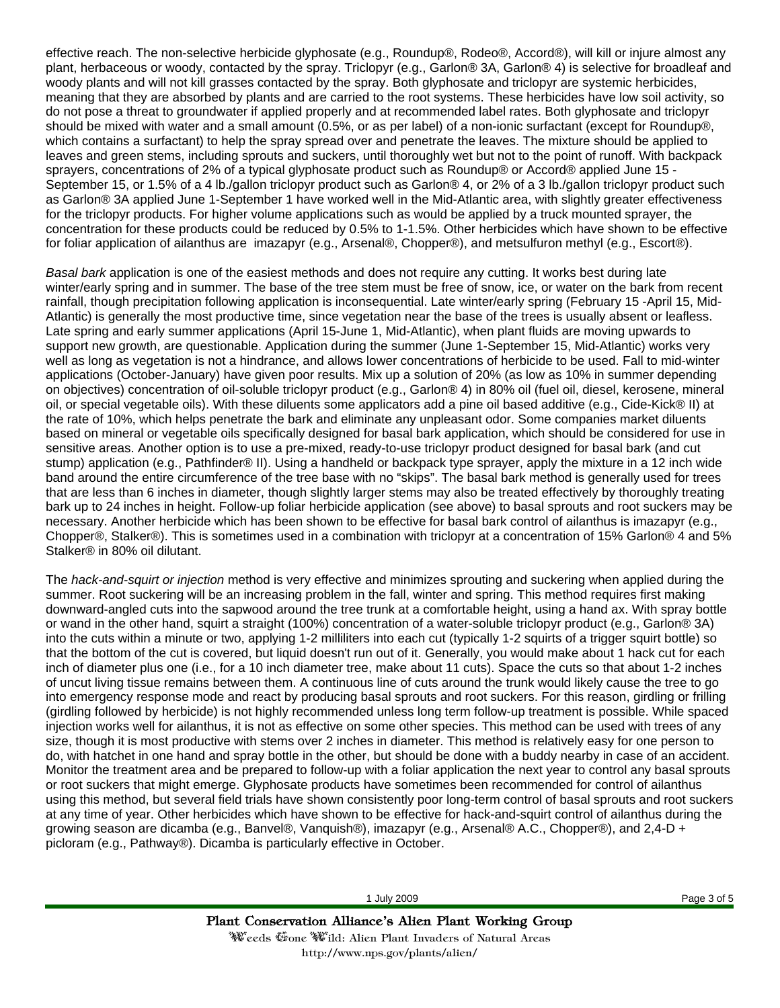effective reach. The non-selective herbicide glyphosate (e.g., Roundup®, Rodeo®, Accord®), will kill or injure almost any plant, herbaceous or woody, contacted by the spray. Triclopyr (e.g., Garlon® 3A, Garlon® 4) is selective for broadleaf and woody plants and will not kill grasses contacted by the spray. Both glyphosate and triclopyr are systemic herbicides, meaning that they are absorbed by plants and are carried to the root systems. These herbicides have low soil activity, so do not pose a threat to groundwater if applied properly and at recommended label rates. Both glyphosate and triclopyr should be mixed with water and a small amount (0.5%, or as per label) of a non-ionic surfactant (except for Roundup®, which contains a surfactant) to help the spray spread over and penetrate the leaves. The mixture should be applied to leaves and green stems, including sprouts and suckers, until thoroughly wet but not to the point of runoff. With backpack sprayers, concentrations of 2% of a typical glyphosate product such as Roundup® or Accord® applied June 15 - September 15, or 1.5% of a 4 lb./gallon triclopyr product such as Garlon® 4, or 2% of a 3 lb./gallon triclopyr product such as Garlon® 3A applied June 1-September 1 have worked well in the Mid-Atlantic area, with slightly greater effectiveness for the triclopyr products. For higher volume applications such as would be applied by a truck mounted sprayer, the concentration for these products could be reduced by 0.5% to 1-1.5%. Other herbicides which have shown to be effective for foliar application of ailanthus are imazapyr (e.g., Arsenal®, Chopper®), and metsulfuron methyl (e.g., Escort®).

*Basal bark* application is one of the easiest methods and does not require any cutting. It works best during late winter/early spring and in summer. The base of the tree stem must be free of snow, ice, or water on the bark from recent rainfall, though precipitation following application is inconsequential. Late winter/early spring (February 15 -April 15, Mid-Atlantic) is generally the most productive time, since vegetation near the base of the trees is usually absent or leafless. Late spring and early summer applications (April 15-June 1, Mid-Atlantic), when plant fluids are moving upwards to support new growth, are questionable. Application during the summer (June 1-September 15, Mid-Atlantic) works very well as long as vegetation is not a hindrance, and allows lower concentrations of herbicide to be used. Fall to mid-winter applications (October-January) have given poor results. Mix up a solution of 20% (as low as 10% in summer depending on objectives) concentration of oil-soluble triclopyr product (e.g., Garlon® 4) in 80% oil (fuel oil, diesel, kerosene, mineral oil, or special vegetable oils). With these diluents some applicators add a pine oil based additive (e.g., Cide-Kick® II) at the rate of 10%, which helps penetrate the bark and eliminate any unpleasant odor. Some companies market diluents based on mineral or vegetable oils specifically designed for basal bark application, which should be considered for use in sensitive areas. Another option is to use a pre-mixed, ready-to-use triclopyr product designed for basal bark (and cut stump) application (e.g., Pathfinder® II). Using a handheld or backpack type sprayer, apply the mixture in a 12 inch wide band around the entire circumference of the tree base with no "skips". The basal bark method is generally used for trees that are less than 6 inches in diameter, though slightly larger stems may also be treated effectively by thoroughly treating bark up to 24 inches in height. Follow-up foliar herbicide application (see above) to basal sprouts and root suckers may be necessary. Another herbicide which has been shown to be effective for basal bark control of ailanthus is imazapyr (e.g., Chopper®, Stalker®). This is sometimes used in a combination with triclopyr at a concentration of 15% Garlon® 4 and 5% Stalker® in 80% oil dilutant.

The *hack-and-squirt or injection* method is very effective and minimizes sprouting and suckering when applied during the summer. Root suckering will be an increasing problem in the fall, winter and spring. This method requires first making downward-angled cuts into the sapwood around the tree trunk at a comfortable height, using a hand ax. With spray bottle or wand in the other hand, squirt a straight (100%) concentration of a water-soluble triclopyr product (e.g., Garlon® 3A) into the cuts within a minute or two, applying 1-2 milliliters into each cut (typically 1-2 squirts of a trigger squirt bottle) so that the bottom of the cut is covered, but liquid doesn't run out of it. Generally, you would make about 1 hack cut for each inch of diameter plus one (i.e., for a 10 inch diameter tree, make about 11 cuts). Space the cuts so that about 1-2 inches of uncut living tissue remains between them. A continuous line of cuts around the trunk would likely cause the tree to go into emergency response mode and react by producing basal sprouts and root suckers. For this reason, girdling or frilling (girdling followed by herbicide) is not highly recommended unless long term follow-up treatment is possible. While spaced injection works well for ailanthus, it is not as effective on some other species. This method can be used with trees of any size, though it is most productive with stems over 2 inches in diameter. This method is relatively easy for one person to do, with hatchet in one hand and spray bottle in the other, but should be done with a buddy nearby in case of an accident. Monitor the treatment area and be prepared to follow-up with a foliar application the next year to control any basal sprouts or root suckers that might emerge. Glyphosate products have sometimes been recommended for control of ailanthus using this method, but several field trials have shown consistently poor long-term control of basal sprouts and root suckers at any time of year. Other herbicides which have shown to be effective for hack-and-squirt control of ailanthus during the growing season are dicamba (e.g., Banvel®, Vanquish®), imazapyr (e.g., Arsenal® A.C., Chopper®), and 2,4-D + picloram (e.g., Pathway®). Dicamba is particularly effective in October.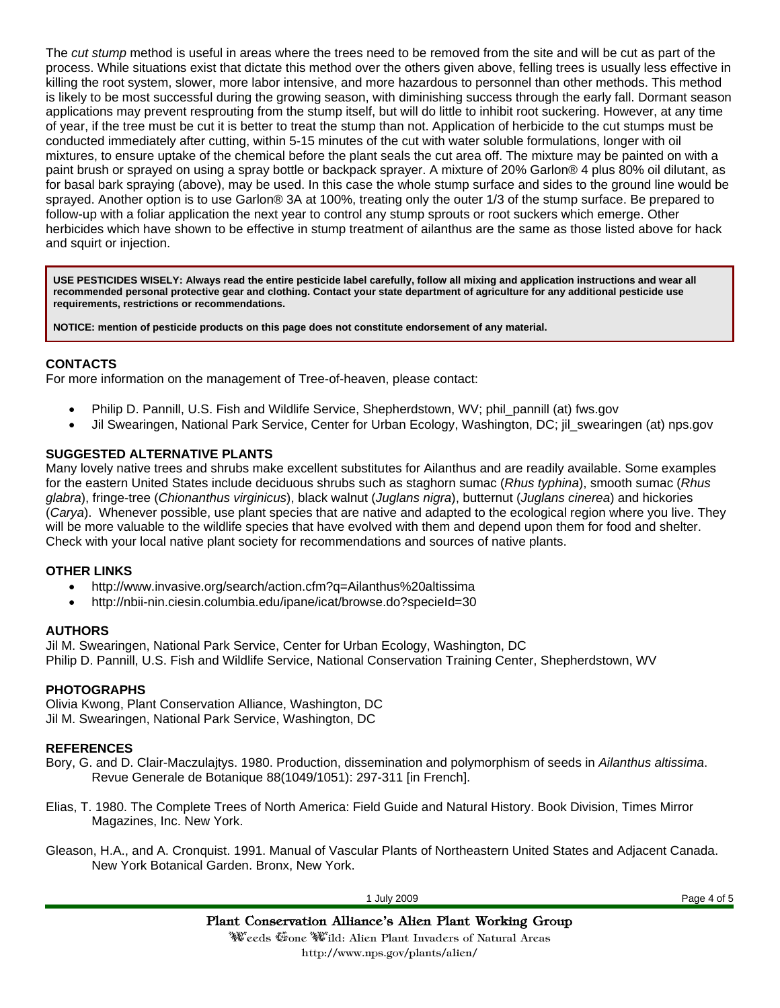The *cut stump* method is useful in areas where the trees need to be removed from the site and will be cut as part of the process. While situations exist that dictate this method over the others given above, felling trees is usually less effective in killing the root system, slower, more labor intensive, and more hazardous to personnel than other methods. This method is likely to be most successful during the growing season, with diminishing success through the early fall. Dormant season applications may prevent resprouting from the stump itself, but will do little to inhibit root suckering. However, at any time of year, if the tree must be cut it is better to treat the stump than not. Application of herbicide to the cut stumps must be conducted immediately after cutting, within 5-15 minutes of the cut with water soluble formulations, longer with oil mixtures, to ensure uptake of the chemical before the plant seals the cut area off. The mixture may be painted on with a paint brush or sprayed on using a spray bottle or backpack sprayer. A mixture of 20% Garlon® 4 plus 80% oil dilutant, as for basal bark spraying (above), may be used. In this case the whole stump surface and sides to the ground line would be sprayed. Another option is to use Garlon® 3A at 100%, treating only the outer 1/3 of the stump surface. Be prepared to follow-up with a foliar application the next year to control any stump sprouts or root suckers which emerge. Other herbicides which have shown to be effective in stump treatment of ailanthus are the same as those listed above for hack and squirt or injection.

**USE PESTICIDES WISELY: Always read the entire pesticide label carefully, follow all mixing and application instructions and wear all recommended personal protective gear and clothing. Contact your state department of agriculture for any additional pesticide use requirements, restrictions or recommendations.** 

**NOTICE: mention of pesticide products on this page does not constitute endorsement of any material.**

# **CONTACTS**

For more information on the management of Tree-of-heaven, please contact:

- Philip D. Pannill, U.S. Fish and Wildlife Service, Shepherdstown, WV; phil\_pannill (at) fws.gov
- Jil Swearingen, National Park Service, Center for Urban Ecology, Washington, DC; jil\_swearingen (at) nps.gov

## **SUGGESTED ALTERNATIVE PLANTS**

Many lovely native trees and shrubs make excellent substitutes for Ailanthus and are readily available. Some examples for the eastern United States include deciduous shrubs such as staghorn sumac (*Rhus typhina*), smooth sumac (*Rhus glabra*), fringe-tree (*Chionanthus virginicus*), black walnut (*Juglans nigra*), butternut (*Juglans cinerea*) and hickories (*Carya*). Whenever possible, use plant species that are native and adapted to the ecological region where you live. They will be more valuable to the wildlife species that have evolved with them and depend upon them for food and shelter. Check with your local native plant society for recommendations and sources of native plants.

### **OTHER LINKS**

- http://www.invasive.org/search/action.cfm?q=Ailanthus%20altissima
- http://nbii-nin.ciesin.columbia.edu/ipane/icat/browse.do?specieId=30

### **AUTHORS**

Jil M. Swearingen, National Park Service, Center for Urban Ecology, Washington, DC Philip D. Pannill, U.S. Fish and Wildlife Service, National Conservation Training Center, Shepherdstown, WV

### **PHOTOGRAPHS**

Olivia Kwong, Plant Conservation Alliance, Washington, DC Jil M. Swearingen, National Park Service, Washington, DC

### **REFERENCES**

- Bory, G. and D. Clair-Maczulajtys. 1980. Production, dissemination and polymorphism of seeds in *Ailanthus altissima*. Revue Generale de Botanique 88(1049/1051): 297-311 [in French].
- Elias, T. 1980. The Complete Trees of North America: Field Guide and Natural History. Book Division, Times Mirror Magazines, Inc. New York.

Gleason, H.A., and A. Cronquist. 1991. Manual of Vascular Plants of Northeastern United States and Adjacent Canada. New York Botanical Garden. Bronx, New York.